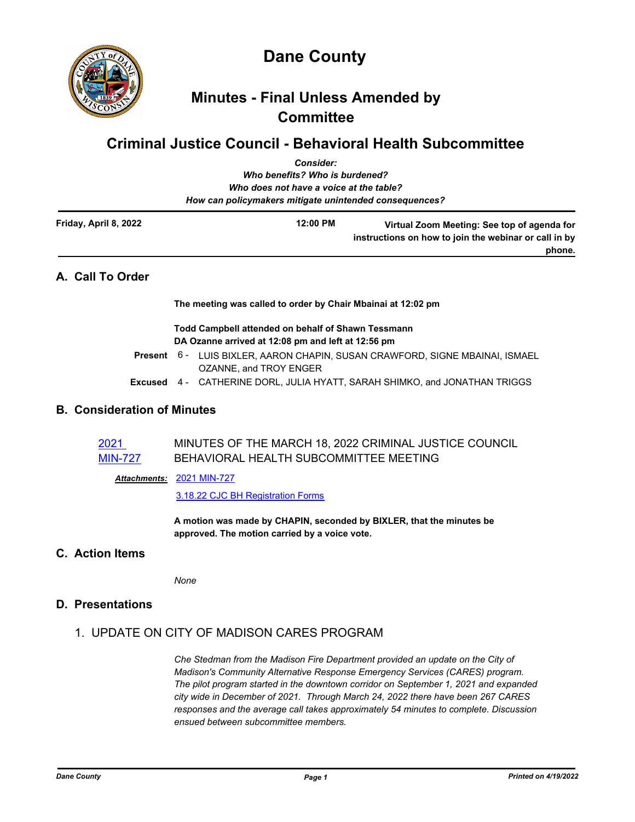

**Dane County**

# **Minutes - Final Unless Amended by Committee**

# **Criminal Justice Council - Behavioral Health Subcommittee** *Consider:*

|                       | GUNSIUCI.                                              |                                                                                                                |
|-----------------------|--------------------------------------------------------|----------------------------------------------------------------------------------------------------------------|
|                       | Who benefits? Who is burdened?                         |                                                                                                                |
|                       | Who does not have a voice at the table?                |                                                                                                                |
|                       | How can policymakers mitigate unintended consequences? |                                                                                                                |
| Friday, April 8, 2022 | 12:00 PM                                               | Virtual Zoom Meeting: See top of agenda for<br>instructions on how to join the webinar or call in by<br>phone. |
|                       |                                                        |                                                                                                                |

# **A. Call To Order**

**The meeting was called to order by Chair Mbainai at 12:02 pm**

#### **Todd Campbell attended on behalf of Shawn Tessmann DA Ozanne arrived at 12:08 pm and left at 12:56 pm**

- Present 6 LUIS BIXLER, AARON CHAPIN, SUSAN CRAWFORD, SIGNE MBAINAI, ISMAEL OZANNE, and TROY ENGER
- **Excused** 4 CATHERINE DORL, JULIA HYATT, SARAH SHIMKO, and JONATHAN TRIGGS

# **B. Consideration of Minutes**

| 2021           | MINUTES OF THE MARCH 18, 2022 CRIMINAL JUSTICE COUNCIL |
|----------------|--------------------------------------------------------|
| <b>MIN-727</b> | BEHAVIORAL HEALTH SUBCOMMITTEE MEETING                 |

[2021 MIN-727](http://dane.legistar.com/gateway.aspx?M=F&ID=a0b17014-776d-4f22-af50-378b9ab4dba2.pdf) *Attachments:*

[3.18.22 CJC BH Registration Forms](http://dane.legistar.com/gateway.aspx?M=F&ID=e5ad489f-0809-46aa-9f0b-bea5ad0e1a96.pdf)

**A motion was made by CHAPIN, seconded by BIXLER, that the minutes be approved. The motion carried by a voice vote.**

## **C. Action Items**

*None*

### **D. Presentations**

# 1. UPDATE ON CITY OF MADISON CARES PROGRAM

*Che Stedman from the Madison Fire Department provided an update on the City of Madison's Community Alternative Response Emergency Services (CARES) program. The pilot program started in the downtown corridor on September 1, 2021 and expanded city wide in December of 2021. Through March 24, 2022 there have been 267 CARES responses and the average call takes approximately 54 minutes to complete. Discussion ensued between subcommittee members.*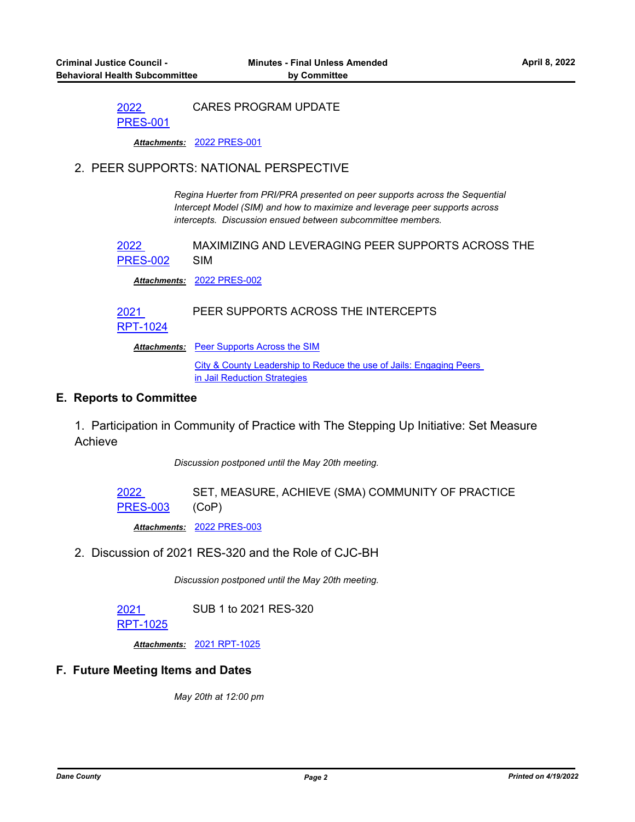2022 CARES PROGRAM UPDATE

[PRES-001](http://dane.legistar.com/gateway.aspx?m=l&id=/matter.aspx?key=22691)

*Attachments:* [2022 PRES-001](http://dane.legistar.com/gateway.aspx?M=F&ID=da929f7a-8f74-4db9-9ff6-9f6b6d1d9c3a.pdf)

#### 2. PEER SUPPORTS: NATIONAL PERSPECTIVE

*Regina Huerter from PRI/PRA presented on peer supports across the Sequential Intercept Model (SIM) and how to maximize and leverage peer supports across intercepts. Discussion ensued between subcommittee members.*

2022 [PRES-002](http://dane.legistar.com/gateway.aspx?m=l&id=/matter.aspx?key=22692) MAXIMIZING AND LEVERAGING PEER SUPPORTS ACROSS THE SIM

*Attachments:* [2022 PRES-002](http://dane.legistar.com/gateway.aspx?M=F&ID=cd5cf92c-786c-4fc7-bdf9-269d125d1574.pdf)

#### 2021 PEER SUPPORTS ACROSS THE INTERCEPTS

[RPT-1024](http://dane.legistar.com/gateway.aspx?m=l&id=/matter.aspx?key=22628)

Attachments: [Peer Supports Across the SIM](http://dane.legistar.com/gateway.aspx?M=F&ID=ba64ae16-64c5-4b0c-a279-78bc59e8c9d5.pdf)

[City & County Leadership to Reduce the use of Jails: Engaging Peers](http://dane.legistar.com/gateway.aspx?M=F&ID=89a0f963-720e-41cd-a739-063ccfd4ec2f.pdf)  in Jail Reduction Strategies

#### **E. Reports to Committee**

1. Participation in Community of Practice with The Stepping Up Initiative: Set Measure Achieve

*Discussion postponed until the May 20th meeting.*

2022 [PRES-003](http://dane.legistar.com/gateway.aspx?m=l&id=/matter.aspx?key=22693) SET, MEASURE, ACHIEVE (SMA) COMMUNITY OF PRACTICE (CoP)

*Attachments:* [2022 PRES-003](http://dane.legistar.com/gateway.aspx?M=F&ID=2e658e3a-d499-46cb-b520-e24d90f6872e.pdf)

2. Discussion of 2021 RES-320 and the Role of CJC-BH

*Discussion postponed until the May 20th meeting.*

2021 SUB 1 to 2021 RES-320

[RPT-1025](http://dane.legistar.com/gateway.aspx?m=l&id=/matter.aspx?key=22631)

*Attachments:* [2021 RPT-1025](http://dane.legistar.com/gateway.aspx?M=F&ID=82643854-4fa7-4d15-90ee-74b35c9279e5.pdf)

#### **F. Future Meeting Items and Dates**

*May 20th at 12:00 pm*